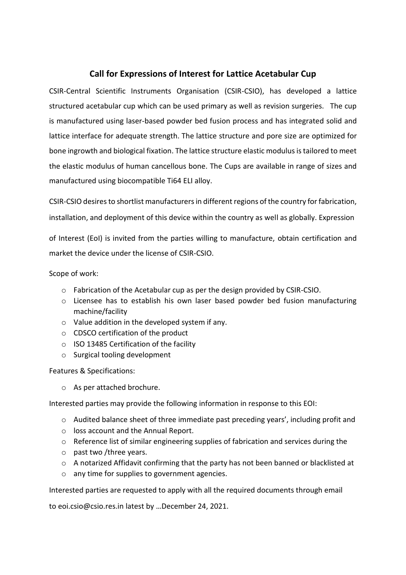#### **Call for Expressions of Interest for Lattice Acetabular Cup**

CSIR-Central Scientific Instruments Organisation (CSIR-CSIO), has developed a lattice structured acetabular cup which can be used primary as well as revision surgeries. The cup is manufactured using laser-based powder bed fusion process and has integrated solid and lattice interface for adequate strength. The lattice structure and pore size are optimized for bone ingrowth and biological fixation. The lattice structure elastic modulus is tailored to meet the elastic modulus of human cancellous bone. The Cups are available in range of sizes and manufactured using biocompatible Ti64 ELI alloy.

CSIR-CSIO desires to shortlist manufacturers in different regions of the country for fabrication, installation, and deployment of this device within the country as well as globally. Expression

of Interest (EoI) is invited from the parties willing to manufacture, obtain certification and market the device under the license of CSIR-CSIO.

Scope of work:

- o Fabrication of the Acetabular cup as per the design provided by CSIR-CSIO.
- $\circ$  Licensee has to establish his own laser based powder bed fusion manufacturing machine/facility
- o Value addition in the developed system if any.
- o CDSCO certification of the product
- o ISO 13485 Certification of the facility
- o Surgical tooling development

Features & Specifications:

o As per attached brochure.

Interested parties may provide the following information in response to this EOI:

- o Audited balance sheet of three immediate past preceding years', including profit and
- o loss account and the Annual Report.
- o Reference list of similar engineering supplies of fabrication and services during the
- o past two /three years.
- o A notarized Affidavit confirming that the party has not been banned or blacklisted at
- o any time for supplies to government agencies.

Interested parties are requested to apply with all the required documents through email

to eoi.csio@csio.res.in latest by …December 24, 2021.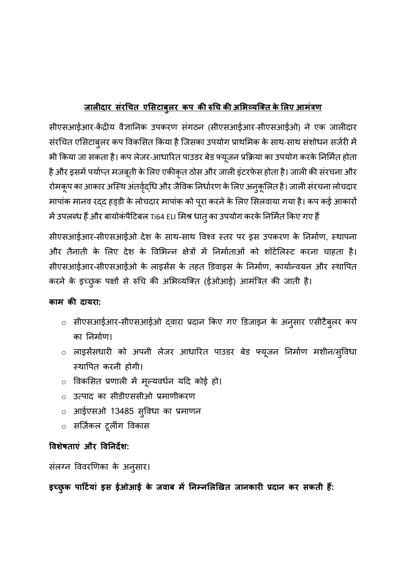## **जालीदार संरचित एससटाबुलर कप की रुचि की असिव्यक्तत केसलए आमंत्रण**

सीएसआईआर-केंद्रीय वैज्ञानिक उपकरण संगठन (सीएसआईआर-सीएसआईओ) ने एक जालीदार संरचित एसिटाबुलर कप विकसित किया है जिसका उपयोग प्राथमिक के साथ-साथ संशोधन सर्जरी में भी किया जा सकता है। कप लेजर-आधारित पाउडर बेड फ्यूजन प्रक्रिया का उपयोग करके निर्मित होता है और इसमें पर्याप्त मजबूती के लिए एकीकृत ठोस और जाली इंटरफ़ेस होता है। जाली की संरचना और रोमकूप का आकार अस्थि अंतर्वृद्धि और जैविक निर्धारण के लिए अनुकूलित है। जाली संरचना लोचदार मापांक मानव रदद हड्डी के लोचदार मापांक को पूरा करने के लिए सिलवाया गया है। कप कई आकारों िेंउपलब्ध हैंऔर बायोकं पैटटबल Ti64 ELI सिश्र धातुका उपयोग करकेनिसिजत ककए गए हैं

सीएसआईआर-सीएसआईओ देश के साथ-साथ विश्व स्तर पर इस उपकरण के निर्माण, स्थापना और तैनाती के लिए देश के विभिन्न क्षेत्रों में निर्माताओं को शॉर्टलिस्ट करना चाहता है। सीएसआईआर-सीएसआईओ के लाइसेंस के तहत डिवाइस के निर्माण, कार्यान्वयन और स्थापित करने के इच्छुक पक्षों से रुचि की अभिव्यक्ति (ईओआई) आमंत्रित की जाती है।

### **काम की दायरा:**

- o सीएसआईआर-सीएसआईओ द्वारा प्रदाि ककए गए डडजाइि के अिुसार एसीटैबुलर कप का निर्माण।
- o लाइसेंसधारी को अपिी लेजर आधाररत पाउडर बेड फ्यूजि नििाजण िशीि/सुववधा थथावपत करिी होगी।
- o ववकससत प्रणाली िें िूल्यवधिज यटद कोई हो।
- o उत्पाद का सीडीएससीओ प्रिाणीकरण
- $\circ$  आईएसओ 13485 स्विधा का प्रमाणन
- $\circ$  सर्जिकल टूलींग विकास

### **विशेषताएं और विनिदेश:**

संलग्न विवरणिका के अनुसार।

**इच्छुक पार्टियां इस ईओआई के जिाब में निम्िसलखित जािकारी प्रदाि कर सकती हैं:**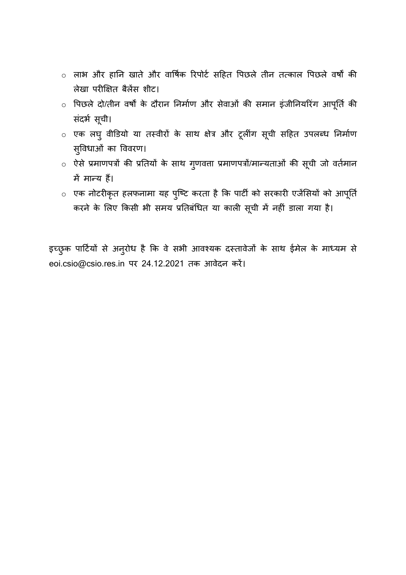- o लाभ और हानि खाते और वावषजक ररपोटज सटहत वपछले तीि तत्काल वपछले वषों की लेखा परीक्षक्षत बैलेंस शीट।
- ं पिछले दो/तीन वर्षों के दौरान निर्माण और सेवाओं की समान इंजीनियरिंग आपूर्ति की संदर्भ सूची।
- ं एक लघु वीडियो या तस्वीरों के साथ क्षेत्र और टूलींग सूची सहित उपलब्ध निर्माण सुववधाओं का वववरण।
- o ऐसे प्रिाणपत्रों की प्रनतयों के साथ गुणवत्ता प्रिाणपत्रों/िान्यताओं की सूिी जो वतजिाि में मान्य हैं।
- $\,\circ\,$  एक नोटरीकृत हलफनामा यह पुष्टि करता है कि पार्टी को सरकारी एजेंसियों को आपूर्ति करने के लिए किसी भी समय प्रतिबंधित या काली सूची में नहीं डाला गया है।

इच्छुक पार्टियों से अनुरोध है कि वे सभी आवश्यक दस्तावेजों के साथ ईमेल के माध्यम से eoi.csio@csio.res.in पर 24.12.2021 तक आवेदन करें।